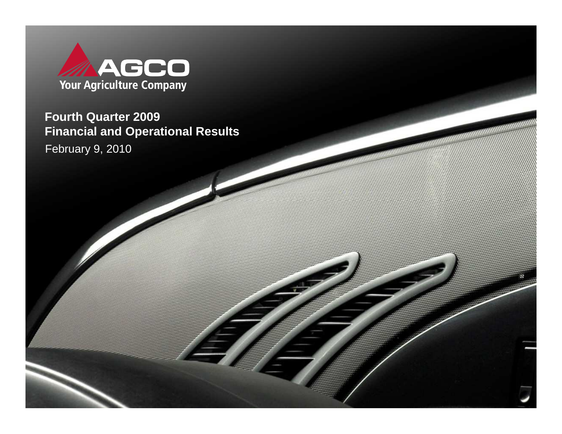

February 9, 2010**Fourth Quarter 2009 Financial and Operational Results**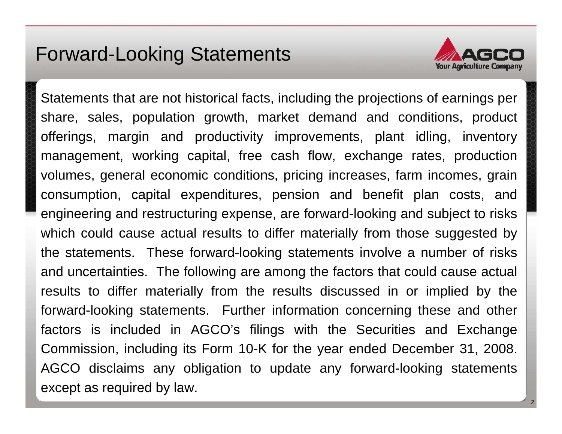### Forward-Looking Statements



Statements that are not historical facts, including the projections of earnings per share, sales, population growth, market demand and conditions, product offerings, margin and productivity improvements, plant idling, inventory management, working capital, free cash flow, exchange rates, production volumes, general economic conditions, pricing increases, farm incomes, grain consumption, capital expenditures, pension and benefit plan costs, and engineering and restructuring expense, are forward-looking and subject to risks which could cause actual results to differ materially from those suggested by the statements. These forward-looking statements involve a number of risks and uncertainties. The following are among the factors that could cause actual results to differ materially from the results discussed in or implied by the forward-looking statements. Further information concerning these and other factors is included in AGCO's filings with the Securities and Exchange Commission, including its Form 10-K for the year ended December 31, 2008. AGCO disclaims any obligation to update any forward-looking statements except as required by law.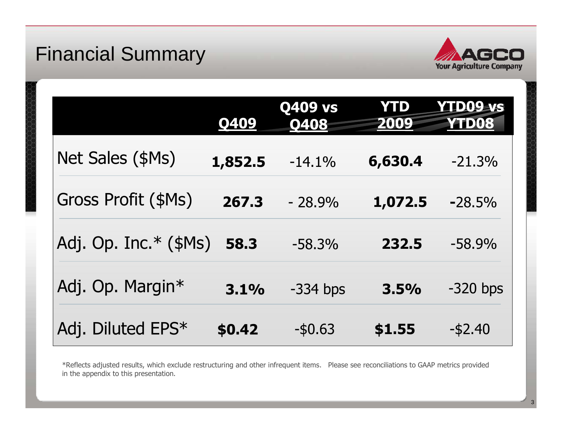## Financial Summary



|                            | Q409    | <b>Q409 vs</b><br>0408 | <b>YTD</b><br>2009 | <b>YTD09-vs</b><br>YTD08 |
|----------------------------|---------|------------------------|--------------------|--------------------------|
| Net Sales (\$Ms)           | 1,852.5 | $-14.1%$               | 6,630.4            | $-21.3%$                 |
| <b>Gross Profit (\$Ms)</b> | 267.3   | $-28.9%$               | 1,072.5            | $-28.5%$                 |
| Adj. Op. Inc. $*(\$Ms)$    | 58.3    | $-58.3%$               | 232.5              | $-58.9%$                 |
| Adj. Op. Margin*           | 3.1%    | $-334$ bps             | 3.5%               | $-320$ bps               |
| Adj. Diluted EPS*          | \$0.42  | $-$ \$0.63             | \$1.55             | $-$ \$2.40               |

\*Reflects adjusted results, which exclude restructuring and other infrequent items. Please see reconciliations to GAAP metrics provided in the appendix to this presentation.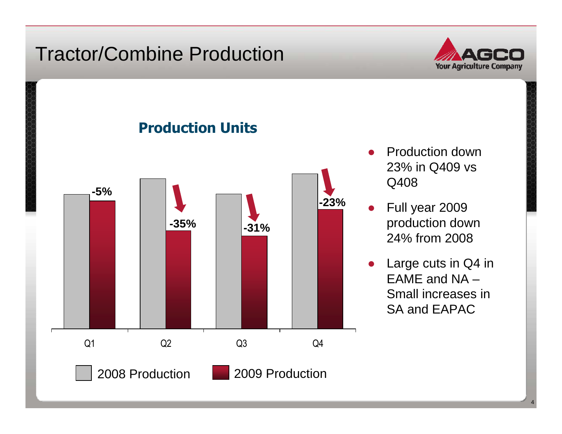## Tractor/Combine Production



Production Units



- ● Production down 23% in Q409 vsQ408
- Full year 2009 production down 24% from 2008
- Large cuts in Q4 in EAME and NA – Small increases in SA and EAPAC

4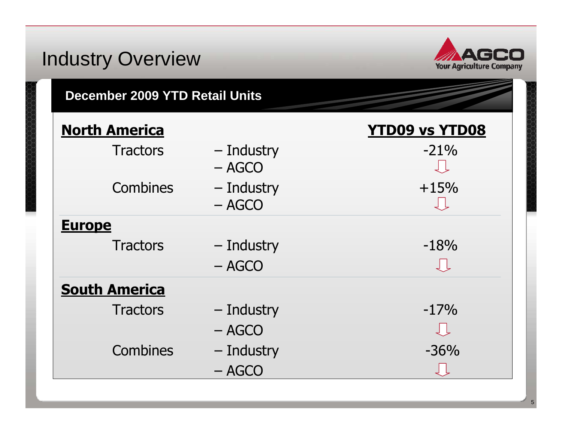### Industry Overview**Your Agriculture Company December 2009 YTD Retail Units**North America**America**<br>Tractors — Industry **YTD09 vs YTD08**  $-$  Industry  $-21\%$ <br>- AGCO – AGCO Combines – Industry +15%<br>- AGCO – AGCO **Europe** Tractors  $-$  Industry  $-460$ – AGCO **South America** Tractors  $-$  Industry  $-17\%$ – AGCO Combines – Industry – 36%<br>Decesion – 2008 – AGCO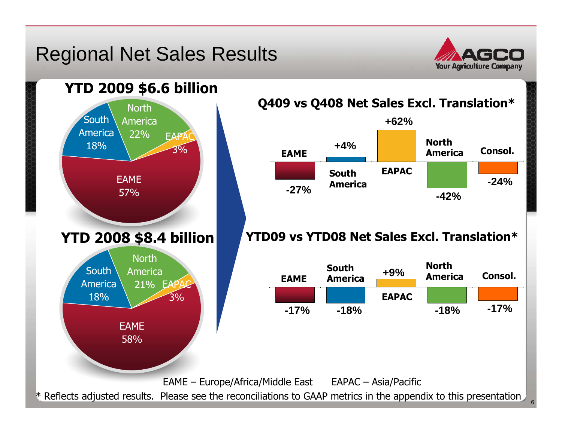### Regional Net Sales Results



Consol.

**-24%**

**-17%**

Consol.

**-42%**

**-18%**

NorthAmerica

NorthAmerica

**+62%**

EAPAC

**+9%**

EAPAC

6



\* Reflects adjusted results. Please see the reconciliations to GAAP metrics in the appendix to this presentation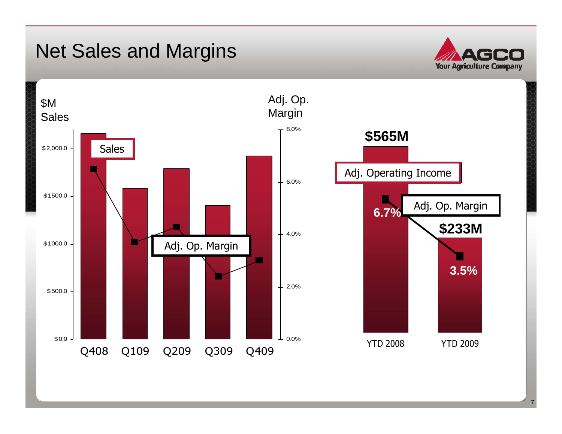## Net Sales and Margins



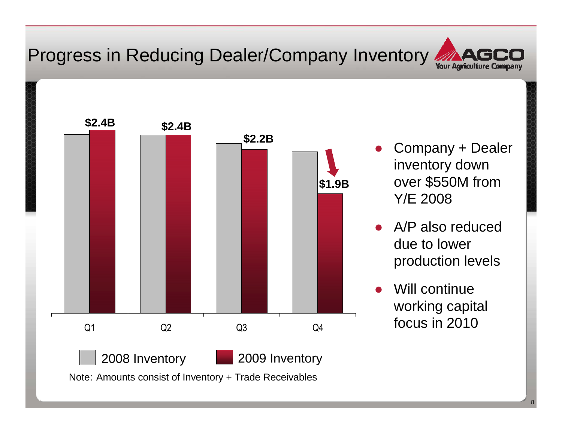## Progress in Reducing Dealer/Company Inventory



- ● Company + Dealer inventory down over \$550M from Y/E 2008
- ● A/P also reduced due to lower production levels
- ●Will continue working capital focus in 2010

8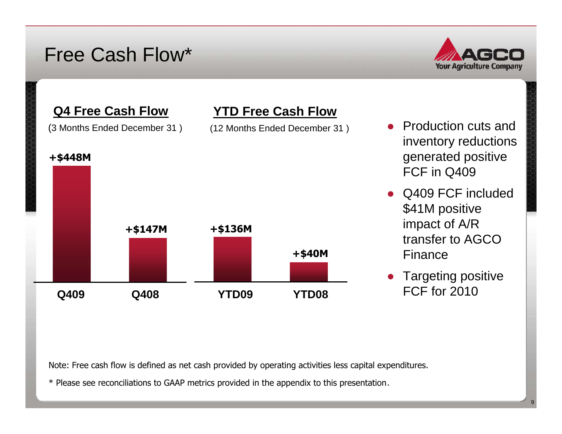### Free Cash Flow\*



#### **Q4 Free Cash Flow**

(3 Months Ended December 31 )

#### +\$448M



- Production cuts and inventory reductions generated positive FCF in Q409
- Q409 FCF included \$41M positive impact of A/R transfer to AGCO Finance
- Targeting positive FCF for 2010

Note: Free cash flow is defined as net cash provided by operating activities less capital expenditures.

**YTD Free Cash Flow**

(12 Months Ended December 31 )

\* Please see reconciliations to GAAP metrics provided in the appendix to this presentation.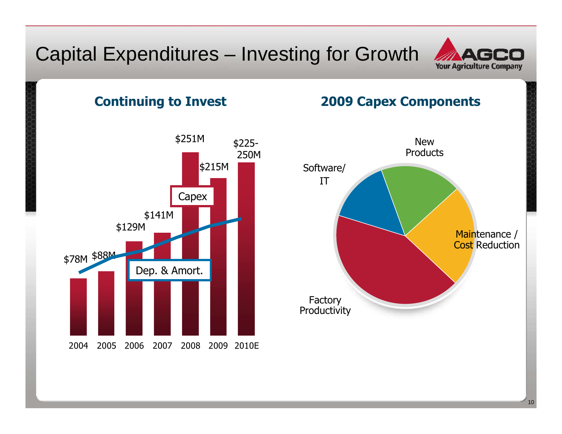### Capital Expenditures – Investing for Growth



#### Continuing to Invest



#### 2009 Capex Components

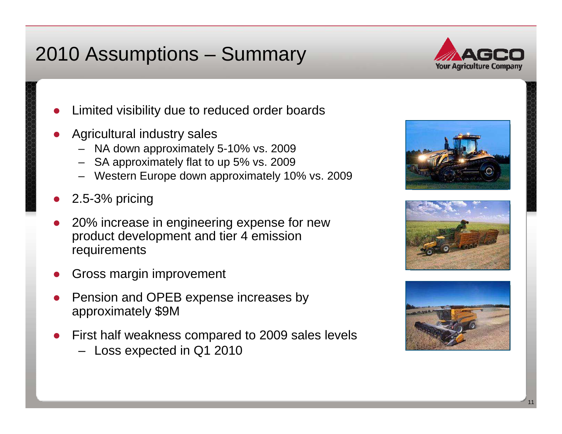# 2010 Assumptions – Summary



- ●Limited visibility due to reduced order boards
- ● Agricultural industry sales
	- NA down approximately 5-10% vs. 2009
	- SA approximately flat to up 5% vs. 2009
	- Western Europe down approximately 10% vs. 2009
- ●2.5-3% pricing
- ● 20% increase in engineering expense for new product development and tier 4 emission requirements
- ●Gross margin improvement
- ● Pension and OPEB expense increases by approximately \$9M
- ● First half weakness compared to 2009 sales levels
	- Loss expected in Q1 2010





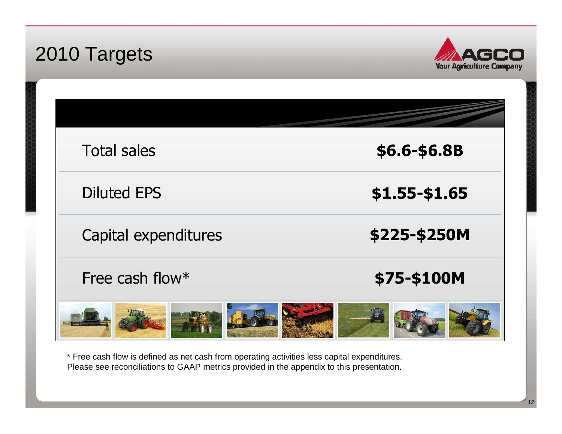| 2010 Targets         | <b>Your Agriculture Company</b> |
|----------------------|---------------------------------|
|                      |                                 |
| <b>Total sales</b>   | \$6.6-\$6.8B                    |
| <b>Diluted EPS</b>   | \$1.55-\$1.65                   |
| Capital expenditures | \$225-\$250M                    |
| Free cash flow*      | \$75-\$100M                     |
|                      |                                 |

\* Free cash flow is defined as net cash from operating activities less capital expenditures. Please see reconciliations to GAAP metrics provided in the appendix to this presentation.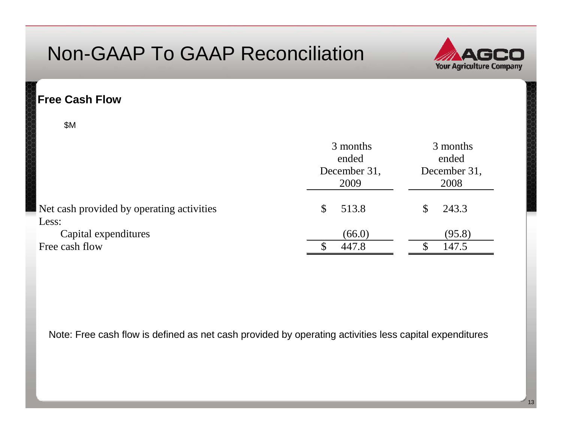

#### **Free Cash Flow**

\$M

|                                                 | 3 months<br>ended<br>December 31,<br>2009 | 3 months<br>ended<br>December 31,<br>2008 |  |
|-------------------------------------------------|-------------------------------------------|-------------------------------------------|--|
| Net cash provided by operating activities       | 513.8<br><sup>S</sup>                     | 243.3                                     |  |
| Less:<br>Capital expenditures<br>Free cash flow | (66.0)<br>447.8                           | (95.8)<br>147.5                           |  |

Note: Free cash flow is defined as net cash provided by operating activities less capital expenditures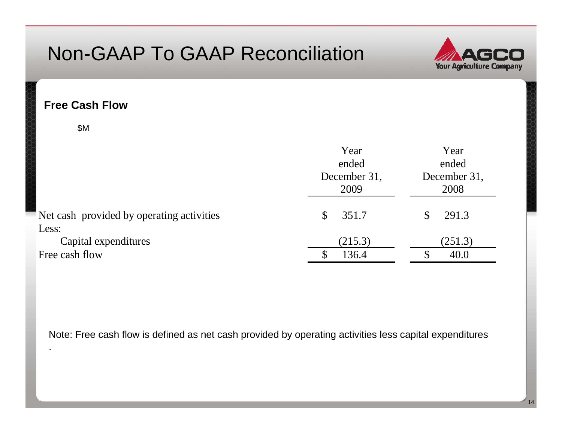

14

#### **Free Cash Flow**

\$M

|                                                    | Year<br>ended<br>December 31,<br>2009 | Year<br>ended<br>December 31,<br>2008 |
|----------------------------------------------------|---------------------------------------|---------------------------------------|
| Net cash provided by operating activities<br>Less: | 351.7<br>\$                           | 291.3                                 |
| Capital expenditures<br>Free cash flow             | (215.3)<br>136.4                      | (251.3)<br>40.0                       |

Note: Free cash flow is defined as net cash provided by operating activities less capital expenditures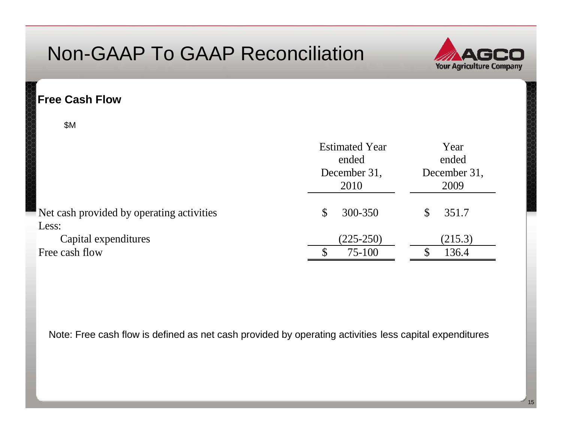

#### **Free Cash Flow**

\$M

|                                                 | <b>Estimated Year</b><br>ended<br>December 31,<br>2010 | Year<br>ended<br>December 31,<br>2009 |  |
|-------------------------------------------------|--------------------------------------------------------|---------------------------------------|--|
| Net cash provided by operating activities       | 300-350<br>\$                                          | 351.7                                 |  |
| Less:<br>Capital expenditures<br>Free cash flow | $(225-250)$<br>75-100                                  | (215.3)<br>136.4                      |  |

Note: Free cash flow is defined as net cash provided by operating activities less capital expenditures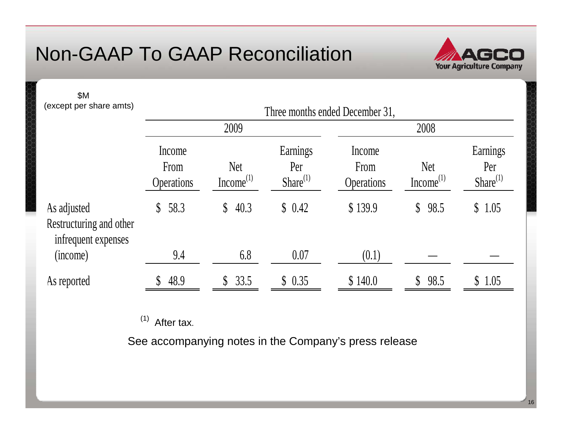

16

| <b>\$M</b><br>(except per share amts)                         | Three months ended December 31, |                                     |                                  |                                     |                                     |                                  |
|---------------------------------------------------------------|---------------------------------|-------------------------------------|----------------------------------|-------------------------------------|-------------------------------------|----------------------------------|
|                                                               |                                 | 2009                                |                                  |                                     | 2008                                |                                  |
|                                                               | Income<br>From<br>Operations    | <b>Net</b><br>Income <sup>(1)</sup> | Earnings<br>Per<br>$Share^{(1)}$ | Income<br>From<br><b>Operations</b> | <b>Net</b><br>Income <sup>(1)</sup> | Earnings<br>Per<br>$Share^{(1)}$ |
| As adjusted<br>Restructuring and other<br>infrequent expenses | 58.3<br>$\mathbb{S}^-$          | \$40.3                              | \$0.42                           | \$139.9                             | 98.5<br>$\mathbb{S}^-$              | 1.05<br>$\mathbb{S}$             |
| (income)                                                      | 9.4                             | 6.8                                 | 0.07                             | (0.1)                               |                                     |                                  |
| As reported                                                   | 48.9                            | \$33.5                              | \$0.35                           | \$140.0                             | 98.5                                | \$1.05                           |

 $(1)$  After tax.

See accompanying notes in the Company's press release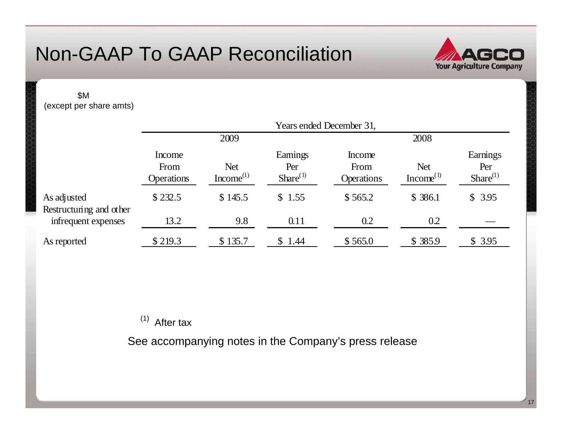

17

\$M (except per share amts)

|                                        | Years ended December 31,            |                                     |                                 |                                     |                                     |                                  |
|----------------------------------------|-------------------------------------|-------------------------------------|---------------------------------|-------------------------------------|-------------------------------------|----------------------------------|
|                                        | 2009                                |                                     |                                 | 2008                                |                                     |                                  |
|                                        | Income<br>From<br><b>Operations</b> | <b>Net</b><br>Income <sup>(1)</sup> | Eamings<br>Per<br>$Share^{(1)}$ | Income<br>From<br><b>Operations</b> | <b>Net</b><br>Income <sup>(1)</sup> | Earnings<br>Per<br>$Share^{(1)}$ |
| As adjusted<br>Restructuring and other | \$232.5                             | \$145.5                             | \$1.55                          | \$565.2                             | \$386.1                             | \$3.95                           |
| infrequent expenses                    | 13.2                                | 9.8                                 | 0.11                            | 0.2                                 | 0.2                                 |                                  |
| As reported                            | \$219.3                             | \$135.7                             | 1.44                            | \$565.0                             | \$385.9                             | \$3.95                           |

 $(1)$  After tax

See accompanying notes in the Company's press release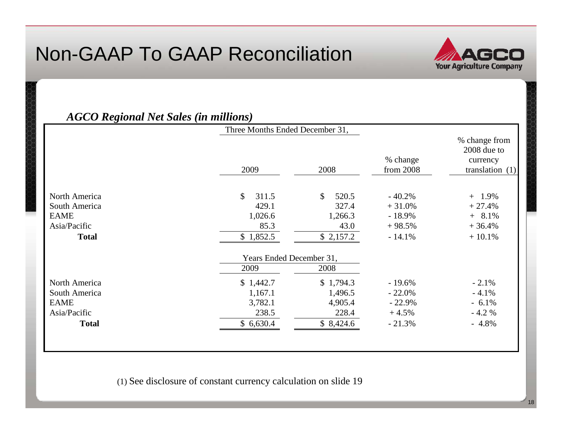

#### *AGCO Regional Net Sales (in millions)*

|               | Three Months Ended December 31, |                       |                       |                                                               |
|---------------|---------------------------------|-----------------------|-----------------------|---------------------------------------------------------------|
|               | 2009                            | 2008                  | % change<br>from 2008 | % change from<br>2008 due to<br>currency<br>translation $(1)$ |
| North America | $\mathbb{S}$<br>311.5           | $\mathbb{S}$<br>520.5 | $-40.2%$              | $+ 1.9%$                                                      |
| South America | 429.1                           | 327.4                 | $+31.0%$              | $+27.4%$                                                      |
| <b>EAME</b>   | 1,026.6                         | 1,266.3               | $-18.9%$              | $+$ 8.1%                                                      |
| Asia/Pacific  | 85.3                            | 43.0                  | $+98.5%$              | $+36.4%$                                                      |
| <b>Total</b>  | \$1,852.5                       | \$2,157.2             | $-14.1%$              | $+10.1%$                                                      |
|               | Years Ended December 31,        |                       |                       |                                                               |
|               | 2009                            | 2008                  |                       |                                                               |
| North America | \$1,442.7                       | \$1,794.3             | $-19.6%$              | $-2.1%$                                                       |
| South America | 1,167.1                         | 1,496.5               | $-22.0\%$             | $-4.1%$                                                       |
| <b>EAME</b>   | 3,782.1                         | 4,905.4               | $-22.9%$              | $-6.1\%$                                                      |
| Asia/Pacific  | 238.5                           | 228.4                 | $+4.5%$               | $-4.2%$                                                       |
| <b>Total</b>  | \$6,630.4                       | \$8,424.6             | $-21.3%$              | $-4.8\%$                                                      |
|               |                                 |                       |                       |                                                               |

(1) See disclosure of constant currency calculation on slide 19